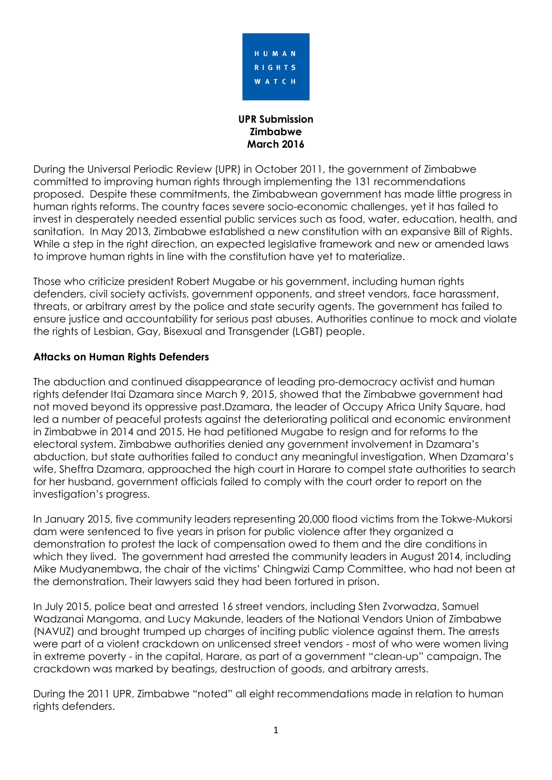

**UPR Submission Zimbabwe March 2016**

During the Universal Periodic Review (UPR) in October 2011, the government of Zimbabwe committed to improving human rights through implementing the 131 recommendations proposed. Despite these commitments, the Zimbabwean government has made little progress in human rights reforms. The country faces severe socio-economic challenges, yet it has failed to invest in desperately needed essential public services such as food, water, education, health, and sanitation. In May 2013, Zimbabwe established a new constitution with an expansive Bill of Rights. While a step in the right direction, an expected legislative framework and new or amended laws to improve human rights in line with the constitution have yet to materialize.

Those who criticize president Robert Mugabe or his government, including human rights defenders, civil society activists, government opponents, and street vendors, face harassment, threats, or arbitrary arrest by the police and state security agents. The government has failed to ensure justice and accountability for serious past abuses. Authorities continue to mock and violate the rights of Lesbian, Gay, Bisexual and Transgender (LGBT) people.

## **Attacks on Human Rights Defenders**

The abduction and continued disappearance of leading pro-democracy activist and human rights defender Itai Dzamara since March 9, 2015, showed that the Zimbabwe government had not moved beyond its oppressive past.Dzamara, the leader of Occupy Africa Unity Square, had led a number of peaceful protests against the deteriorating political and economic environment in Zimbabwe in 2014 and 2015. He had petitioned Mugabe to resign and for reforms to the electoral system. Zimbabwe authorities denied any government involvement in Dzamara's abduction, but state authorities failed to conduct any meaningful investigation. When Dzamara's wife, Sheffra Dzamara, approached the high court in Harare to compel state authorities to search for her husband, government officials failed to comply with the court order to report on the investigation's progress.

In January 2015, five community leaders representing 20,000 flood victims from the Tokwe-Mukorsi dam were sentenced to five years in prison for public violence after they organized a demonstration to protest the lack of compensation owed to them and the dire conditions in which they lived. The government had arrested the community leaders in August 2014, including Mike Mudyanembwa, the chair of the victims' Chingwizi Camp Committee, who had not been at the demonstration. Their lawyers said they had been tortured in prison.

In July 2015, police beat and arrested 16 street vendors, including Sten Zvorwadza, Samuel Wadzanai Mangoma, and Lucy Makunde, leaders of the National Vendors Union of Zimbabwe (NAVUZ) and brought trumped up charges of inciting public violence against them. The arrests were part of a violent crackdown on unlicensed street vendors - most of who were women living in extreme poverty - in the capital, Harare, as part of a government "clean-up" campaign. The crackdown was marked by beatings, destruction of goods, and arbitrary arrests.

During the 2011 UPR, Zimbabwe "noted" all eight recommendations made in relation to human rights defenders.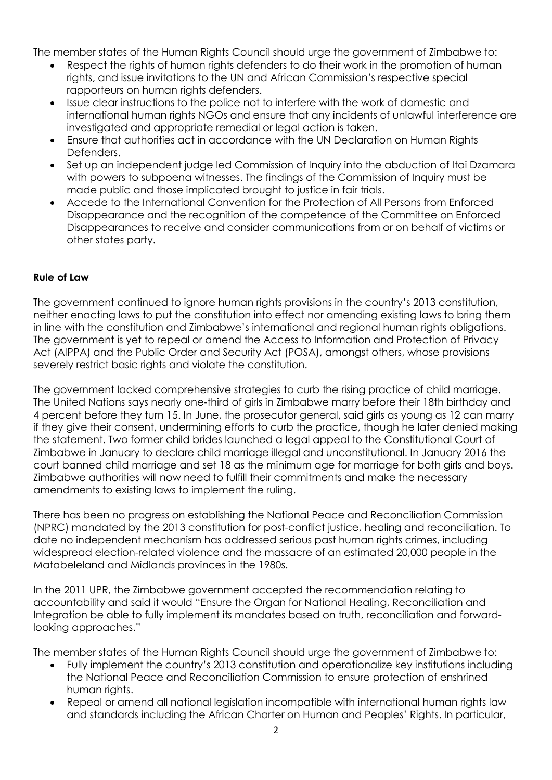The member states of the Human Rights Council should urge the government of Zimbabwe to:

- Respect the rights of human rights defenders to do their work in the promotion of human rights, and issue invitations to the UN and African Commission's respective special rapporteurs on human rights defenders.
- Issue clear instructions to the police not to interfere with the work of domestic and international human rights NGOs and ensure that any incidents of unlawful interference are investigated and appropriate remedial or legal action is taken.
- Ensure that authorities act in accordance with the UN Declaration on Human Rights Defenders.
- Set up an independent judge led Commission of Inquiry into the abduction of Itai Dzamara with powers to subpoena witnesses. The findings of the Commission of Inquiry must be made public and those implicated brought to justice in fair trials.
- Accede to the International Convention for the Protection of All Persons from Enforced Disappearance and the recognition of the competence of the Committee on Enforced Disappearances to receive and consider communications from or on behalf of victims or other states party.

## **Rule of Law**

The government continued to ignore human rights provisions in the country's 2013 constitution, neither enacting laws to put the constitution into effect nor amending existing laws to bring them in line with the constitution and Zimbabwe's international and regional human rights obligations. The government is yet to repeal or amend the Access to Information and Protection of Privacy Act (AIPPA) and the Public Order and Security Act (POSA), amongst others, whose provisions severely restrict basic rights and violate the constitution.

The government lacked comprehensive strategies to curb the rising practice of child marriage. The United Nations says nearly one-third of girls in Zimbabwe marry before their 18th birthday and 4 percent before they turn 15. In June, the prosecutor general, said girls as young as 12 can marry if they give their consent, undermining efforts to curb the practice, though he later denied making the statement. Two former child brides launched a legal appeal to the Constitutional Court of Zimbabwe in January to declare child marriage illegal and unconstitutional. In January 2016 the court banned child marriage and set 18 as the minimum age for marriage for both girls and boys. Zimbabwe authorities will now need to fulfill their commitments and make the necessary amendments to existing laws to implement the ruling.

There has been no progress on establishing the National Peace and Reconciliation Commission (NPRC) mandated by the 2013 constitution for post-conflict justice, healing and reconciliation. To date no independent mechanism has addressed serious past human rights crimes, including widespread election-related violence and the massacre of an estimated 20,000 people in the Matabeleland and Midlands provinces in the 1980s.

In the 2011 UPR, the Zimbabwe government accepted the recommendation relating to accountability and said it would "Ensure the Organ for National Healing, Reconciliation and Integration be able to fully implement its mandates based on truth, reconciliation and forwardlooking approaches."

The member states of the Human Rights Council should urge the government of Zimbabwe to:

- Fully implement the country's 2013 constitution and operationalize key institutions including the National Peace and Reconciliation Commission to ensure protection of enshrined human rights.
- Repeal or amend all national legislation incompatible with international human rights law and standards including the African Charter on Human and Peoples' Rights. In particular,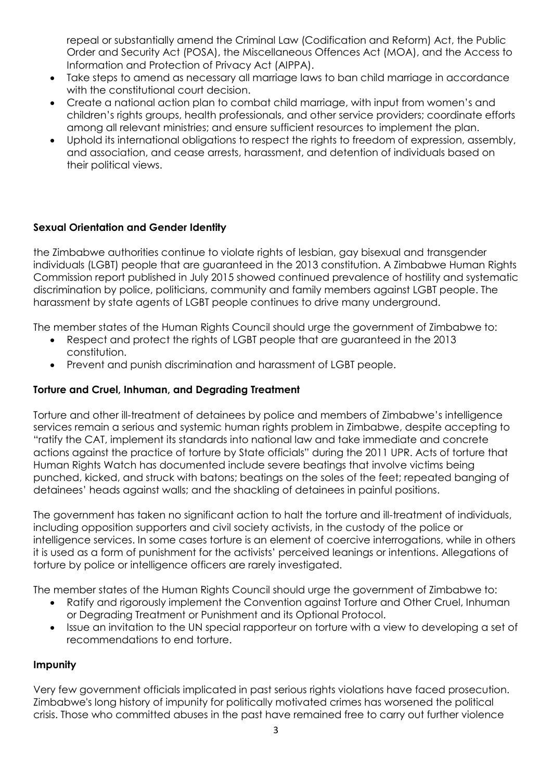repeal or substantially amend the Criminal Law (Codification and Reform) Act, the Public Order and Security Act (POSA), the Miscellaneous Offences Act (MOA), and the Access to Information and Protection of Privacy Act (AIPPA).

- Take steps to amend as necessary all marriage laws to ban child marriage in accordance with the constitutional court decision.
- Create a national action plan to combat child marriage, with input from women's and children's rights groups, health professionals, and other service providers; coordinate efforts among all relevant ministries; and ensure sufficient resources to implement the plan.
- Uphold its international obligations to respect the rights to freedom of expression, assembly, and association, and cease arrests, harassment, and detention of individuals based on their political views.

# **Sexual Orientation and Gender Identity**

the Zimbabwe authorities continue to violate rights of lesbian, gay bisexual and transgender individuals (LGBT) people that are guaranteed in the 2013 constitution. A Zimbabwe Human Rights Commission report published in July 2015 showed continued prevalence of hostility and systematic discrimination by police, politicians, community and family members against LGBT people. The harassment by state agents of LGBT people continues to drive many underground.

The member states of the Human Rights Council should urge the government of Zimbabwe to:

- Respect and protect the rights of LGBT people that are guaranteed in the 2013 constitution.
- Prevent and punish discrimination and harassment of LGBT people.

## **Torture and Cruel, Inhuman, and Degrading Treatment**

Torture and other ill-treatment of detainees by police and members of Zimbabwe's intelligence services remain a serious and systemic human rights problem in Zimbabwe, despite accepting to "ratify the CAT, implement its standards into national law and take immediate and concrete actions against the practice of torture by State officials" during the 2011 UPR. Acts of torture that Human Rights Watch has documented include severe beatings that involve victims being punched, kicked, and struck with batons; beatings on the soles of the feet; repeated banging of detainees' heads against walls; and the shackling of detainees in painful positions.

The government has taken no significant action to halt the torture and ill-treatment of individuals, including opposition supporters and civil society activists, in the custody of the police or intelligence services. In some cases torture is an element of coercive interrogations, while in others it is used as a form of punishment for the activists' perceived leanings or intentions. Allegations of torture by police or intelligence officers are rarely investigated.

The member states of the Human Rights Council should urge the government of Zimbabwe to:

- Ratify and rigorously implement the Convention against Torture and Other Cruel, Inhuman or Degrading Treatment or Punishment and its Optional Protocol.
- Issue an invitation to the UN special rapporteur on torture with a view to developing a set of recommendations to end torture.

### **Impunity**

Very few government officials implicated in past serious rights violations have faced prosecution. Zimbabwe's long history of impunity for politically motivated crimes has worsened the political crisis. Those who committed abuses in the past have remained free to carry out further violence